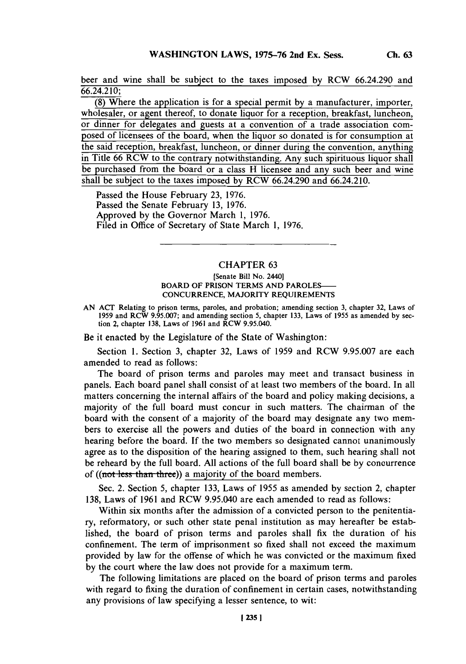beer and wine shall be subject to the taxes imposed **by** RCW 66.24.290 and 66.24.2 **10;**

**(8)** Where the application is for a special permit **by** a manufacturer, importer, wholesaler, or agent thereof, to donate liquor for a reception, breakfast, luncheon, or dinner for delegates and guests at a convention of a trade association composed of licensees of the board, when the liquor so donated is for consumption at the said reception, breakfast, luncheon, or dinner during the convention, anything in Title **66** RCW to the contrary notwithstanding. Any such spirituous liquor shall be purchased from the board or a class H licensee and any such beer and wine shall be subject to the taxes imposed **by** RCW 66.24.290 and 66.24.2 10.

Passed the House February **23, 1976.** Passed the Senate February **13, 1976.** Approved **by** the Governor March **1, 1976.** Filed in Office of Secretary of State March **1, 1976.**

## CHAPTER **63**

## [Senate Bill No. 2440] BOARD OF PRISON TERMS **AND** PAROLES-**CONCURRENCE,** MAJORITY **REQUIREMENTS**

**AN ACT** Relating to prison terms, paroles, and probation; amending section **3,** chapter **32,** Laws of **1959** and RCW **9.95.007;** and amending section *5,* chapter **133,** Laws of **1955** as amended **by** section 2, chapter **138,** Laws of **1961** and RCW *9.95.040.*

Be it enacted **by** the Legislature of the State of Washington:

Section **1.** Section **3,** chapter **32,** Laws of **1959** and RCW **9.95.007** are each amended to read as follows:

The board of prison terms and paroles may meet and transact business in panels. Each board panel shall consist of at least two members of the board. In all matters concerning the internal affairs of the board and policy making decisions, a majority of the full board must concur in such matters. The chairman of the board with the consent of a majority of the board may designate any two members to exercise all the powers and duties of the board in connection with any hearing before the board. If the two members so designated cannot unanimously agree as to the disposition of the hearing assigned to them, such hearing shall not be reheard **by** the full board. **All** actions of the full board shall be **by** concurrence of ((not less than three)) a majority of the board members.

Sec. 2. Section **5,** chapter **133,** Laws of **1955** as amended **by** section 2, chapter **138,** Laws of **1961** and RCW 9.95.040 are each amended to read as follows:

Within six months after the admission of a convicted person to the penitentiary, reformatory, or such other state penal institution as may hereafter be established, the board of prison terms and paroles shall fix the duration of his confinement. The term of imprisonment so fixed shall not exceed the maximum provided **by** law for the offense of which he was convicted or the maximum fixed **by** the court where the law does not provide for a maximum term.

The following limitations are placed on the board of prison terms and paroles with regard to fixing the duration of confinement in certain cases, notwithstanding any provisions of law specifying a lesser sentence, to wit: